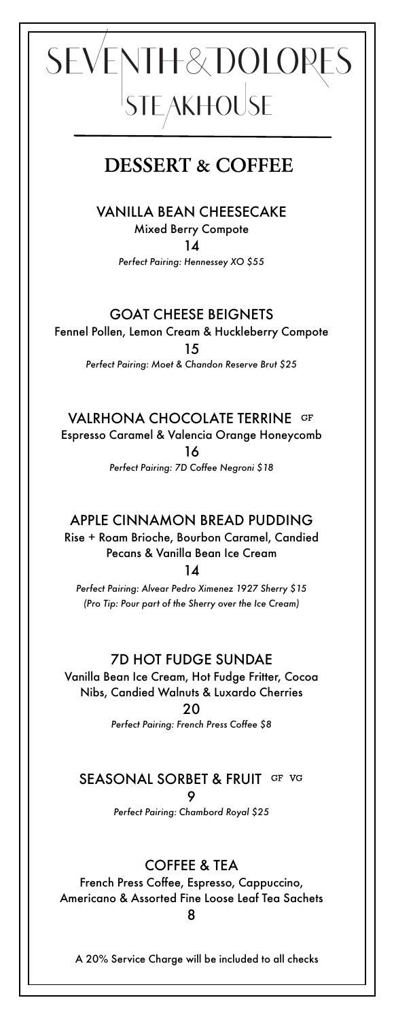# SEVENTH&DOLORES<br>STEAKHOUSE

# **DESSERT & COFFEE**

VANILLA BEAN CHEESECAKE Mixed Berry Compote

 $14$ 

*Perfect Pairing: Hennessey XO \$55*

#### GOAT CHEESE BEIGNETS

Fennel Pollen, Lemon Cream & Huckleberry Compote

15

*Perfect Pairing: Moet & Chandon Reserve Brut \$25*

VALRHONA CHOCOLATE TERRINE GF

Espresso Caramel & Valencia Orange Honeycomb 16 *Perfect Pairing: 7D Coffee Negroni \$18*

#### APPLE CINNAMON BREAD PUDDING

Rise + Roam Brioche, Bourbon Caramel, Candied Pecans & Vanilla Bean Ice Cream

14

*Perfect Pairing: Alvear Pedro Ximenez 1927 Sherry \$15 (Pro Tip: Pour part of the Sherry over the Ice Cream)*

#### 7D HOT FUDGE SUNDAE

Vanilla Bean Ice Cream, Hot Fudge Fritter, Cocoa Nibs, Candied Walnuts & Luxardo Cherries 20

*Perfect Pairing: French Press Coffee \$8*

### SEASONAL SORBET & FRUIT GF VG

9

*Perfect Pairing: Chambord Royal \$25*

#### COFFEE & TEA

French Press Coffee, Espresso, Cappuccino, Americano & Assorted Fine Loose Leaf Tea Sachets 8

A 20% Service Charge will be included to all checks